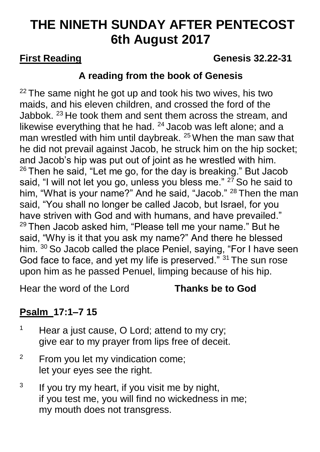# **THE NINETH SUNDAY AFTER PENTECOST 6th August 2017**

## **First Reading Community Community Community Community Genesis 32.22-31**

## **A reading from the book of Genesis**

 $22$  The same night he got up and took his two wives, his two maids, and his eleven children, and crossed the ford of the Jabbok. <sup>23</sup> He took them and sent them across the stream, and likewise everything that he had.  $24$  Jacob was left alone; and a man wrestled with him until daybreak. <sup>25</sup> When the man saw that he did not prevail against Jacob, he struck him on the hip socket; and Jacob's hip was put out of joint as he wrestled with him.  $26$  Then he said, "Let me go, for the day is breaking." But Jacob said, "I will not let you go, unless you bless me." <sup>27</sup> So he said to him, "What is your name?" And he said, "Jacob." <sup>28</sup> Then the man said, "You shall no longer be called Jacob, but Israel, for you have striven with God and with humans, and have prevailed."  $29$  Then Jacob asked him, "Please tell me your name." But he said, "Why is it that you ask my name?" And there he blessed him. <sup>30</sup> So Jacob called the place Peniel, saying, "For I have seen God face to face, and yet my life is preserved." 31 The sun rose upon him as he passed Penuel, limping because of his hip.

Hear the word of the Lord **Thanks be to God**

# **Psalm [17:1–7](logosref:BibleNRSV.Ps17.1-7) 15**

- $1$  Hear a just cause, O Lord; attend to my cry; give ear to my prayer from lips free of deceit.
- <sup>2</sup> From you let my vindication come; let your eyes see the right.
- 3 If you try my heart, if you visit me by night, if you test me, you will find no wickedness in me; my mouth does not transgress.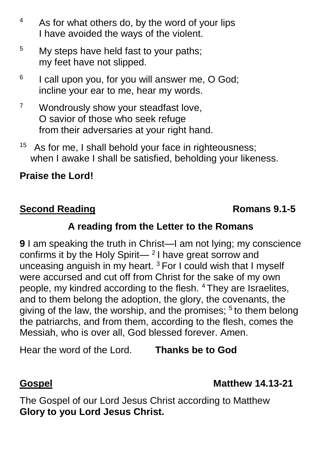- <sup>4</sup> As for what others do, by the word of your lips I have avoided the ways of the violent.
- <sup>5</sup> My steps have held fast to your paths; my feet have not slipped.
- 6 I call upon you, for you will answer me, O God; incline your ear to me, hear my words.
- <sup>7</sup> Wondrously show your steadfast love, O savior of those who seek refuge from their adversaries at your right hand.
- <sup>15</sup> As for me, I shall behold your face in righteousness; when I awake I shall be satisfied, beholding your likeness.

### **Praise the Lord!**

## **Second Reading Romans 9.1-5**

## **A reading from the Letter to the Romans**

**9** I am speaking the truth in Christ—I am not lying; my conscience confirms it by the Holy Spirit— $^2$ I have great sorrow and unceasing anguish in my heart. <sup>3</sup> For I could wish that I myself were accursed and cut off from Christ for the sake of my own people, my kindred according to the flesh. <sup>4</sup> They are Israelites, and to them belong the adoption, the glory, the covenants, the giving of the law, the worship, and the promises;  $5$  to them belong the patriarchs, and from them, according to the flesh, comes the Messiah, who is over all, God blessed forever. Amen.

Hear the word of the Lord. **Thanks be to God**

**Gospel Matthew 14.13-21**

The Gospel of our Lord Jesus Christ according to Matthew **Glory to you Lord Jesus Christ.**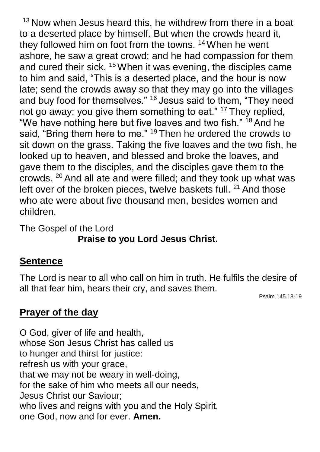$13$  Now when Jesus heard this, he withdrew from there in a boat to a deserted place by himself. But when the crowds heard it, they followed him on foot from the towns. <sup>14</sup> When he went ashore, he saw a great crowd; and he had compassion for them and cured their sick. <sup>15</sup> When it was evening, the disciples came to him and said, "This is a deserted place, and the hour is now late; send the crowds away so that they may go into the villages and buy food for themselves." <sup>16</sup> Jesus said to them, "They need not go away; you give them something to eat." <sup>17</sup> They replied, "We have nothing here but five loaves and two fish." <sup>18</sup> And he said, "Bring them here to me." <sup>19</sup> Then he ordered the crowds to sit down on the grass. Taking the five loaves and the two fish, he looked up to heaven, and blessed and broke the loaves, and gave them to the disciples, and the disciples gave them to the crowds. <sup>20</sup> And all ate and were filled; and they took up what was left over of the broken pieces, twelve baskets full. <sup>21</sup> And those who ate were about five thousand men, besides women and children.

The Gospel of the Lord **Praise to you Lord Jesus Christ.**

### **Sentence**

The Lord is near to all who call on him in truth. He fulfils the desire of all that fear him, hears their cry, and saves them.

Psalm 145.18-19

## **Prayer of the day**

O God, giver of life and health, whose Son Jesus Christ has called us to hunger and thirst for justice: refresh us with your grace, that we may not be weary in well-doing, for the sake of him who meets all our needs, Jesus Christ our Saviour; who lives and reigns with you and the Holy Spirit, one God, now and for ever. **Amen.**